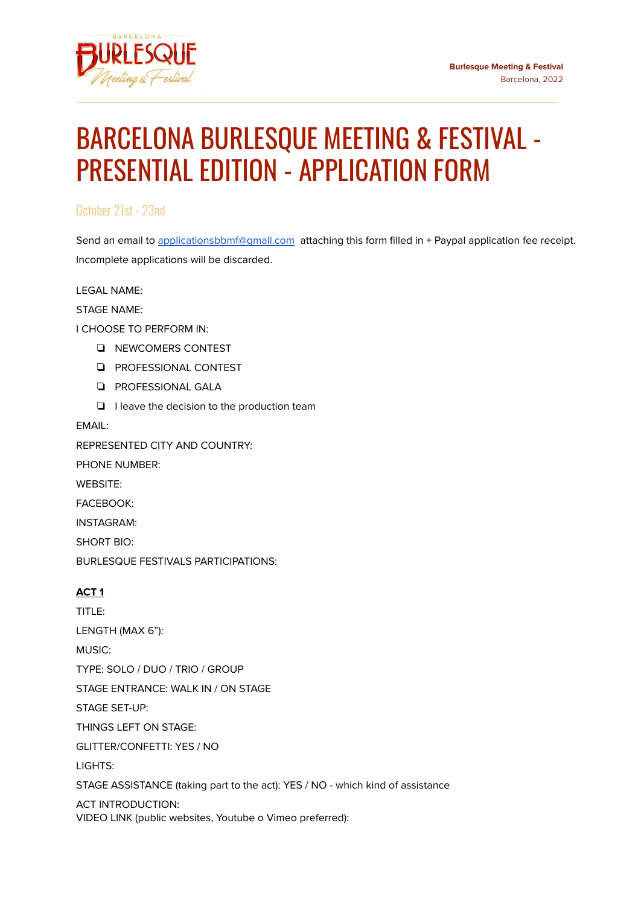

## BARCELONA BURLESQUE MEETING & FESTIVAL - PRESENTIAL EDITION - APPLICATION FORM

\_\_\_\_\_\_\_\_\_\_\_\_\_\_\_\_\_\_\_\_\_\_\_\_\_\_\_\_\_\_\_\_\_\_\_\_\_\_\_\_\_\_\_\_\_\_\_\_\_\_\_\_\_\_\_\_\_\_\_\_\_\_\_\_\_\_\_\_\_\_\_\_\_\_\_

October 21st - 23nd

Send an email to applicationsbbmf@qmail.com attaching this form filled in + Paypal application fee receipt. Incomplete applications will be discarded.

LEGAL NAME:

STAGE NAME:

I CHOOSE TO PERFORM IN:

- ❏ NEWCOMERS CONTEST
- ❏ PROFESSIONAL CONTEST
- ❏ PROFESSIONAL GALA
- ❏ I leave the decision to the production team

EMAIL:

REPRESENTED CITY AND COUNTRY:

PHONE NUMBER:

WEBSITE:

FACEBOOK:

INSTAGRAM:

SHORT BIO:

BURLESQUE FESTIVALS PARTICIPATIONS:

## **ACT 1**

TITLE: LENGTH (MAX 6"): MUSIC: TYPE: SOLO / DUO / TRIO / GROUP STAGE ENTRANCE: WALK IN / ON STAGE STAGE SET-UP: THINGS LEFT ON STAGE: GLITTER/CONFETTI: YES / NO LIGHTS: STAGE ASSISTANCE (taking part to the act): YES / NO - which kind of assistance

ACT INTRODUCTION: VIDEO LINK (public websites, Youtube o Vimeo preferred):